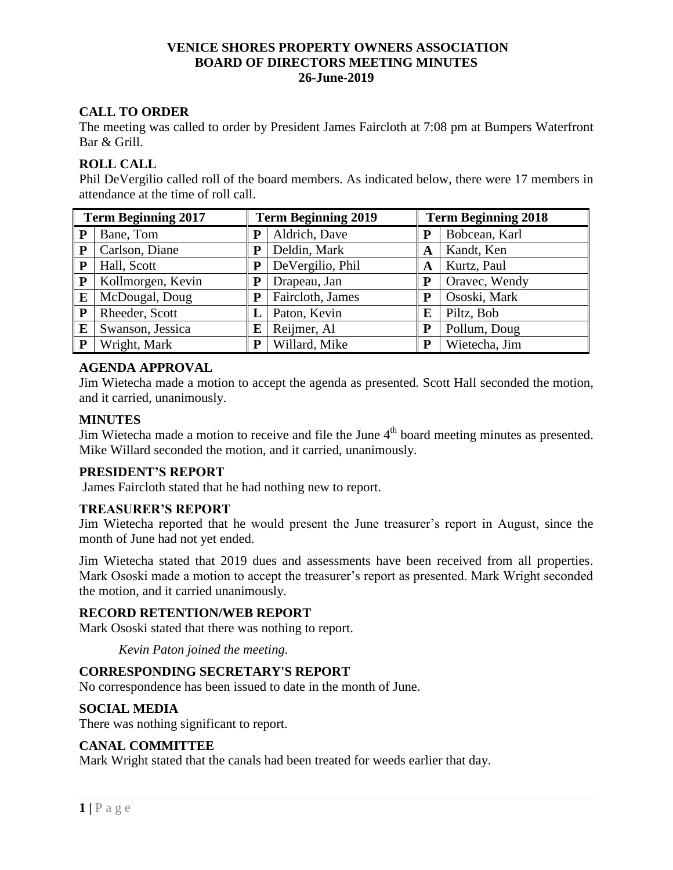## **VENICE SHORES PROPERTY OWNERS ASSOCIATION BOARD OF DIRECTORS MEETING MINUTES 26-June-2019**

## **CALL TO ORDER**

The meeting was called to order by President James Faircloth at 7:08 pm at Bumpers Waterfront Bar & Grill.

### **ROLL CALL**

Phil DeVergilio called roll of the board members. As indicated below, there were 17 members in attendance at the time of roll call.

| <b>Term Beginning 2017</b> |                   | <b>Term Beginning 2019</b> |                  | <b>Term Beginning 2018</b> |               |
|----------------------------|-------------------|----------------------------|------------------|----------------------------|---------------|
| P                          | Bane, Tom         | P                          | Aldrich, Dave    | P                          | Bobcean, Karl |
| P                          | Carlson, Diane    | P                          | Deldin, Mark     | A                          | Kandt, Ken    |
| ${\bf P}$                  | Hall, Scott       | P                          | DeVergilio, Phil | A                          | Kurtz, Paul   |
| P                          | Kollmorgen, Kevin | P                          | Drapeau, Jan     | P                          | Oravec, Wendy |
| E                          | McDougal, Doug    | P                          | Faircloth, James | P                          | Ososki, Mark  |
| P                          | Rheeder, Scott    |                            | Paton, Kevin     | E                          | Piltz, Bob    |
| E                          | Swanson, Jessica  | Е                          | Reijmer, Al      | P                          | Pollum, Doug  |
| P                          | Wright, Mark      | P                          | Willard, Mike    | P                          | Wietecha, Jim |

### **AGENDA APPROVAL**

Jim Wietecha made a motion to accept the agenda as presented. Scott Hall seconded the motion, and it carried, unanimously.

#### **MINUTES**

Jim Wietecha made a motion to receive and file the June 4<sup>th</sup> board meeting minutes as presented. Mike Willard seconded the motion, and it carried, unanimously.

### **PRESIDENT'S REPORT**

James Faircloth stated that he had nothing new to report.

### **TREASURER'S REPORT**

Jim Wietecha reported that he would present the June treasurer's report in August, since the month of June had not yet ended.

Jim Wietecha stated that 2019 dues and assessments have been received from all properties. Mark Ososki made a motion to accept the treasurer's report as presented. Mark Wright seconded the motion, and it carried unanimously.

### **RECORD RETENTION/WEB REPORT**

Mark Ososki stated that there was nothing to report.

*Kevin Paton joined the meeting.*

### **CORRESPONDING SECRETARY'S REPORT**

No correspondence has been issued to date in the month of June.

## **SOCIAL MEDIA**

There was nothing significant to report.

## **CANAL COMMITTEE**

Mark Wright stated that the canals had been treated for weeds earlier that day.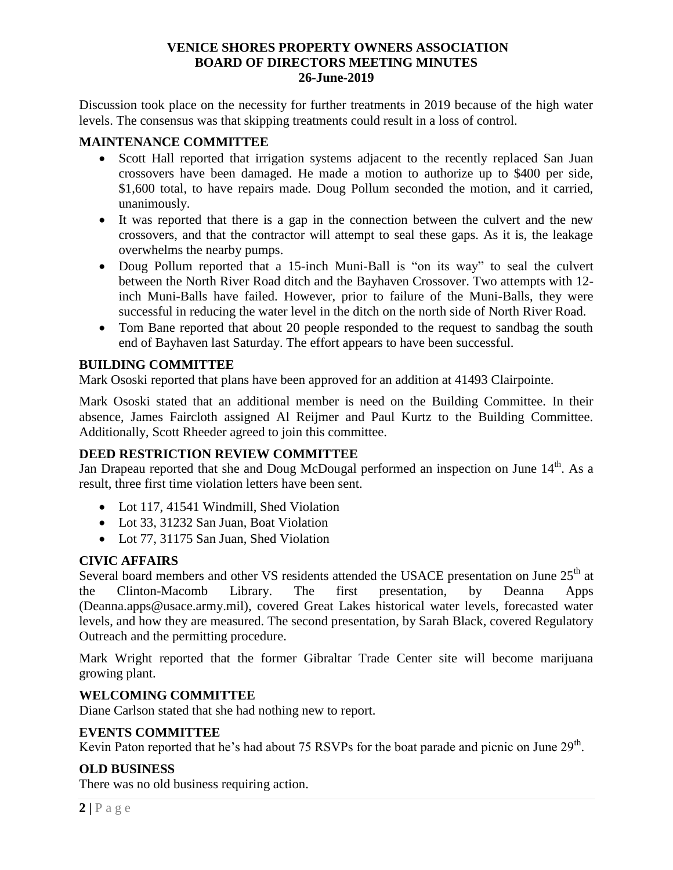## **VENICE SHORES PROPERTY OWNERS ASSOCIATION BOARD OF DIRECTORS MEETING MINUTES 26-June-2019**

Discussion took place on the necessity for further treatments in 2019 because of the high water levels. The consensus was that skipping treatments could result in a loss of control.

## **MAINTENANCE COMMITTEE**

- Scott Hall reported that irrigation systems adjacent to the recently replaced San Juan crossovers have been damaged. He made a motion to authorize up to \$400 per side, \$1,600 total, to have repairs made. Doug Pollum seconded the motion, and it carried, unanimously.
- It was reported that there is a gap in the connection between the culvert and the new crossovers, and that the contractor will attempt to seal these gaps. As it is, the leakage overwhelms the nearby pumps.
- Doug Pollum reported that a 15-inch Muni-Ball is "on its way" to seal the culvert between the North River Road ditch and the Bayhaven Crossover. Two attempts with 12 inch Muni-Balls have failed. However, prior to failure of the Muni-Balls, they were successful in reducing the water level in the ditch on the north side of North River Road.
- Tom Bane reported that about 20 people responded to the request to sandbag the south end of Bayhaven last Saturday. The effort appears to have been successful.

## **BUILDING COMMITTEE**

Mark Ososki reported that plans have been approved for an addition at 41493 Clairpointe.

Mark Ososki stated that an additional member is need on the Building Committee. In their absence, James Faircloth assigned Al Reijmer and Paul Kurtz to the Building Committee. Additionally, Scott Rheeder agreed to join this committee.

# **DEED RESTRICTION REVIEW COMMITTEE**

Jan Drapeau reported that she and Doug McDougal performed an inspection on June 14<sup>th</sup>. As a result, three first time violation letters have been sent.

- Lot 117, 41541 Windmill, Shed Violation
- Lot 33, 31232 San Juan, Boat Violation
- Lot 77, 31175 San Juan, Shed Violation

# **CIVIC AFFAIRS**

Several board members and other VS residents attended the USACE presentation on June 25<sup>th</sup> at the Clinton-Macomb Library. The first presentation, by Deanna Apps (Deanna.apps@usace.army.mil), covered Great Lakes historical water levels, forecasted water levels, and how they are measured. The second presentation, by Sarah Black, covered Regulatory Outreach and the permitting procedure.

Mark Wright reported that the former Gibraltar Trade Center site will become marijuana growing plant.

# **WELCOMING COMMITTEE**

Diane Carlson stated that she had nothing new to report.

# **EVENTS COMMITTEE**

Kevin Paton reported that he's had about 75 RSVPs for the boat parade and picnic on June  $29<sup>th</sup>$ .

# **OLD BUSINESS**

There was no old business requiring action.